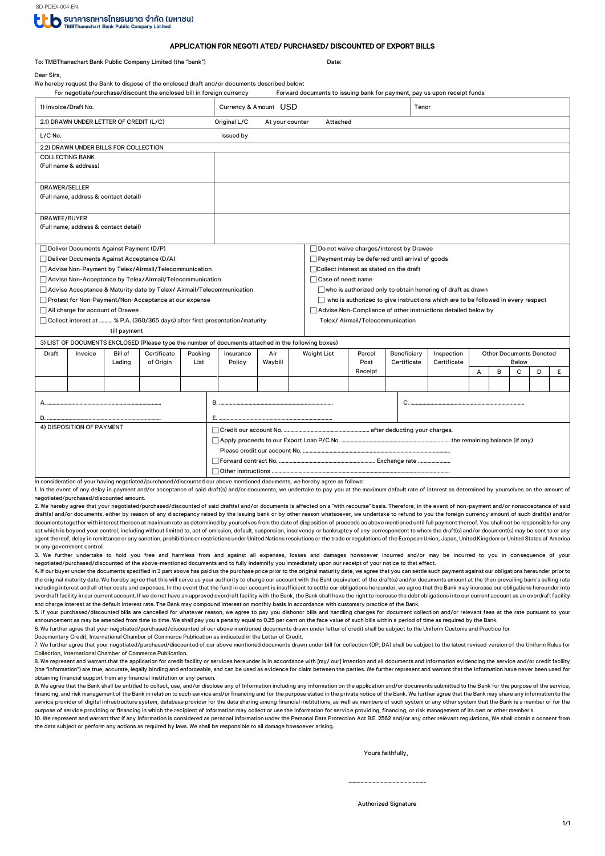

## APPLICATION FOR NEGOTI ATED/ PURCHASED/ DISCOUNTED OF EXPORT BILLS

To: TMBThanachart Bank Public Company Limited (the "bank") Date:

Dear Sirs,

We hereby request the Bank to dispose of the enclosed draft and/or documents described below:

For negotiate/purchase/discount the enclosed bill in foreign currency Forward documents to issuing bank for payment, pay us upon receipt funds

| 1) Invoice/Draft No.                                                                                |                                              |        |           |                  | Currency & Amount USD |                                                                                         |                                                                    |        |                                                  | Tenor      |             |             |                                |   |   |   |   |
|-----------------------------------------------------------------------------------------------------|----------------------------------------------|--------|-----------|------------------|-----------------------|-----------------------------------------------------------------------------------------|--------------------------------------------------------------------|--------|--------------------------------------------------|------------|-------------|-------------|--------------------------------|---|---|---|---|
| 2.1) DRAWN UNDER LETTER OF CREDIT (L/C)<br>Original L/C<br>At your counter<br>Attached              |                                              |        |           |                  |                       |                                                                                         |                                                                    |        |                                                  |            |             |             |                                |   |   |   |   |
| L/C No.                                                                                             |                                              |        |           |                  | Issued by             |                                                                                         |                                                                    |        |                                                  |            |             |             |                                |   |   |   |   |
| 2.2) DRAWN UNDER BILLS FOR COLLECTION                                                               |                                              |        |           |                  |                       |                                                                                         |                                                                    |        |                                                  |            |             |             |                                |   |   |   |   |
| <b>COLLECTING BANK</b>                                                                              |                                              |        |           |                  |                       |                                                                                         |                                                                    |        |                                                  |            |             |             |                                |   |   |   |   |
| (Full name & address)                                                                               |                                              |        |           |                  |                       |                                                                                         |                                                                    |        |                                                  |            |             |             |                                |   |   |   |   |
| <b>DRAWER/SELLER</b>                                                                                |                                              |        |           |                  |                       |                                                                                         |                                                                    |        |                                                  |            |             |             |                                |   |   |   |   |
| (Full name, address & contact detail)                                                               |                                              |        |           |                  |                       |                                                                                         |                                                                    |        |                                                  |            |             |             |                                |   |   |   |   |
|                                                                                                     |                                              |        |           |                  |                       |                                                                                         |                                                                    |        |                                                  |            |             |             |                                |   |   |   |   |
| DRAWEE/BUYER                                                                                        |                                              |        |           |                  |                       |                                                                                         |                                                                    |        |                                                  |            |             |             |                                |   |   |   |   |
|                                                                                                     | (Full name, address & contact detail)        |        |           |                  |                       |                                                                                         |                                                                    |        |                                                  |            |             |             |                                |   |   |   |   |
|                                                                                                     |                                              |        |           |                  |                       |                                                                                         |                                                                    |        |                                                  |            |             |             |                                |   |   |   |   |
| Deliver Documents Against Payment (D/P)                                                             |                                              |        |           |                  |                       |                                                                                         |                                                                    |        | □ Do not waive charges/interest by Drawee        |            |             |             |                                |   |   |   |   |
| Deliver Documents Against Acceptance (D/A)                                                          |                                              |        |           |                  |                       |                                                                                         |                                                                    |        | □ Payment may be deferred until arrival of goods |            |             |             |                                |   |   |   |   |
| Advise Non-Payment by Telex/Airmail/Telecommunication                                               |                                              |        |           |                  |                       |                                                                                         |                                                                    |        | □Collect interest as stated on the draft         |            |             |             |                                |   |   |   |   |
| Advise Non-Acceptance by Telex/Airmail/Telecommunication                                            |                                              |        |           |                  |                       |                                                                                         |                                                                    |        | $\Box$ Case of need: name                        |            |             |             |                                |   |   |   |   |
| Advise Acceptance & Maturity date by Telex/ Airmail/Telecommunication                               |                                              |        |           |                  |                       |                                                                                         | $\Box$ who is authorized only to obtain honoring of draft as drawn |        |                                                  |            |             |             |                                |   |   |   |   |
| □ Protest for Non-Payment/Non-Acceptance at our expense                                             |                                              |        |           |                  |                       | $\Box$ who is authorized to give instructions which are to be followed in every respect |                                                                    |        |                                                  |            |             |             |                                |   |   |   |   |
| All charge for account of Drawee                                                                    |                                              |        |           |                  |                       | Advise Non-Compliance of other instructions detailed below by                           |                                                                    |        |                                                  |            |             |             |                                |   |   |   |   |
| $\Box$ Collect interest at  % P.A. (360/365 days) after first presentation/maturity                 |                                              |        |           |                  |                       |                                                                                         |                                                                    |        | Telex/ Airmail/Telecommunication                 |            |             |             |                                |   |   |   |   |
| till payment                                                                                        |                                              |        |           |                  |                       |                                                                                         |                                                                    |        |                                                  |            |             |             |                                |   |   |   |   |
| 3) LIST OF DOCUMENTS ENCLOSED (Please type the number of documents attached in the following boxes) |                                              |        |           |                  |                       |                                                                                         |                                                                    |        |                                                  |            |             |             |                                |   |   |   |   |
| Draft                                                                                               | Bill of<br>Certificate<br>Invoice<br>Packing |        |           | Air<br>Insurance |                       |                                                                                         | <b>Weight List</b>                                                 | Parcel | Beneficiary                                      | Inspection |             |             | <b>Other Documents Denoted</b> |   |   |   |   |
|                                                                                                     |                                              | Lading | of Origin | List             |                       | Policy<br>Waybill                                                                       |                                                                    |        |                                                  | Post       | Certificate | Certificate | Below                          |   |   |   |   |
|                                                                                                     |                                              |        |           |                  |                       |                                                                                         |                                                                    |        |                                                  | Receipt    |             |             | Α                              | В | C | D | E |
|                                                                                                     |                                              |        |           |                  |                       |                                                                                         |                                                                    |        |                                                  |            |             |             |                                |   |   |   |   |
|                                                                                                     |                                              |        |           |                  |                       |                                                                                         |                                                                    |        |                                                  |            |             |             |                                |   |   |   |   |
|                                                                                                     |                                              |        |           |                  |                       |                                                                                         |                                                                    |        |                                                  |            |             |             |                                |   |   |   |   |
|                                                                                                     |                                              |        |           |                  |                       |                                                                                         |                                                                    |        |                                                  |            |             |             |                                |   |   |   |   |
| 4) DISPOSITION OF PAYMENT                                                                           |                                              |        |           |                  |                       |                                                                                         |                                                                    |        |                                                  |            |             |             |                                |   |   |   |   |
|                                                                                                     |                                              |        |           |                  |                       |                                                                                         |                                                                    |        |                                                  |            |             |             |                                |   |   |   |   |
|                                                                                                     |                                              |        |           |                  |                       |                                                                                         |                                                                    |        |                                                  |            |             |             |                                |   |   |   |   |
|                                                                                                     |                                              |        |           |                  |                       |                                                                                         |                                                                    |        |                                                  |            |             |             |                                |   |   |   |   |
|                                                                                                     |                                              |        |           |                  |                       |                                                                                         |                                                                    |        |                                                  |            |             |             |                                |   |   |   |   |

In consideration of your having negotiated/purchased/discounted our above mentioned documents, we hereby agree as follows:

1. In the event of any delay in payment and/or acceptance of said draft(s) and/or documents, we undertake to pay you at the maximum default rate of interest as determined by yourselves on the amount of negotiated/purchased/discounted amount.

2. We hereby agree that your negotiated/purchased/discounted of said draft(s) and/or documents is affected on a "with recourse" basis. Therefore, in the event of non-payment and/or nonacceptance of said draft(s) and/or documents, either by reason of any discrepancy raised by the issuing bank or by other reason whatsoever, we undertake to refund to you the foreign currency amount of such draft(s) and/or documents together with interest thereon at maximum rate as determined by yourselves from the date of disposition of proceeds as above mentioned until full payment thereof. You shall not be responsible for any act which is beyond your control, including without limited to, act of omission, default, suspension, insolvency or bankruptcy of any correspondent to whom the draft(s) and/or document(s) may be sent to or any agent thereof, delay in remittance or any sanction, prohibitions or restrictions under United Nations resolutions or the trade or regulations of the European Union, Japan, United Kingdom or United States of America or any government control.

3. We further undertake to hold you free and harmless from and against all expenses, losses and damages howsoever incurred and/or may be incurred to you in consequence of your negotiated/purchased/discounted of the above-mentioned documents and to fully indemnify you immediately upon our receipt of your notice to that effect.

4. If our buyer under the documents specified in 3 part above has paid us the purchase price prior to the original maturity date, we agree that you can settle such payment against our obligations hereunder prior to the original maturity date. We hereby agree that this will serve as your authority to charge our account with the Baht equivalent of the draft(s) and/or documents amount at the then prevailing bank's selling rate including interest and all other costs and expenses. In the event that the fund in our account is insufficient to settle our obligations hereunder, we agree that the Bank may increase our obligations hereunder into overdraft facility in our current account. If we do not have an approved overdraft facility with the Bank, the Bank shall have the right to increase the debt obligations into our current account as an overdraft facility and charge interest at the default interest rate. The Bank may compound interest on monthly basis in accordance with customary practice of the Bank.

5. If your purchased/discounted bills are cancelled for whatever reason, we agree to pay you dishonor bills and handling charges for document collection and/or relevant fees at the rate pursuant to your announcement as may be amended from time to time. We shall pay you a penalty equal to 0.25 per cent on the face value of such bills within a period of time as required by the Bank.

6. We further agree that your negotiated/purchased/discounted of our above mentioned documents drawn under letter of credit shall be subject to the Uniform Customs and Practice for

Documentary Credit, International Chamber of Commerce Publication as indicated in the Letter of Credit.

7. We further agree that your negotiated/purchased/discounted of our above mentioned documents drawn under bill for collection (DP, DA) shall be subject to the latest revised version of the Uniform Rules for Collection, International Chamber of Commerce Publication.

8. We represent and warrant that the application for credit facility or services hereunder is in accordance with [my/ our] intention and all documents and information evidencing the service and/or credit facility (the "Information") are true, accurate, legally binding and enforceable, and can be used as evidence for claim between the parties. We further represent and warrant that the Information have never been used for obtaining financial support from any financial institution or any person.

9. We agree that the Bank shall be entitled to collect, use, and/or disclose any of Information including any information on the application and/or documents submitted to the Bank for the purpose of the service. financing, and risk management of the Bank in relation to such service and/or financing and for the purpose stated in the private notice of the Bank. We further agree that the Bank may share any information to the service provider of digital infrastructure system, database provider for the data sharing among financial institutions, as well as members of such system or any other system that the Bank is a member of for the purpose of service providing or financing in which the recipient of Information may collect or use the Information for service providing, financing, or risk management of its own or other member's.

10. We represent and warrant that if any Information is considered as personal information under the Personal Data Protection Act B.E. 2562 and/or any other relevant regulations, We shall obtain a consent from the data subject or perform any actions as required by laws. We shall be responsible to all damage howsoever arising.

Yours faithfully,

………………………………………………….

Authorized Signature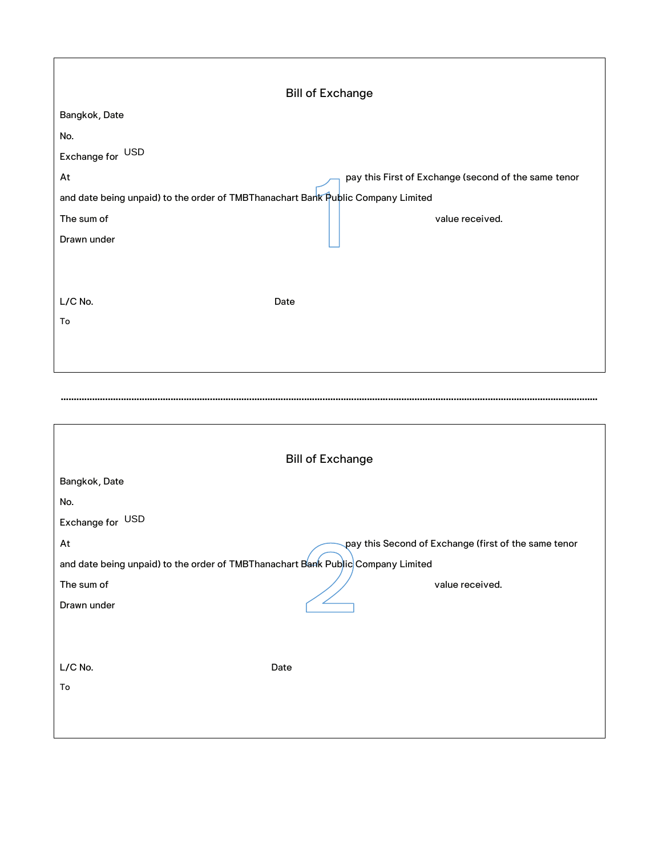|                                                                                  | <b>Bill of Exchange</b>                                         |  |  |  |  |  |  |
|----------------------------------------------------------------------------------|-----------------------------------------------------------------|--|--|--|--|--|--|
| Bangkok, Date                                                                    |                                                                 |  |  |  |  |  |  |
| No.                                                                              |                                                                 |  |  |  |  |  |  |
| Exchange for USD                                                                 |                                                                 |  |  |  |  |  |  |
| At                                                                               | pay this First of Exchange (second of the same tenor            |  |  |  |  |  |  |
| and date being unpaid) to the order of TMBThanachart Bank Public Company Limited |                                                                 |  |  |  |  |  |  |
| The sum of                                                                       | value received.                                                 |  |  |  |  |  |  |
| Drawn under                                                                      |                                                                 |  |  |  |  |  |  |
|                                                                                  |                                                                 |  |  |  |  |  |  |
|                                                                                  |                                                                 |  |  |  |  |  |  |
| L/C No.                                                                          | Date                                                            |  |  |  |  |  |  |
| To                                                                               |                                                                 |  |  |  |  |  |  |
|                                                                                  |                                                                 |  |  |  |  |  |  |
|                                                                                  |                                                                 |  |  |  |  |  |  |
|                                                                                  |                                                                 |  |  |  |  |  |  |
|                                                                                  |                                                                 |  |  |  |  |  |  |
|                                                                                  |                                                                 |  |  |  |  |  |  |
|                                                                                  | <b>Bill of Exchange</b>                                         |  |  |  |  |  |  |
| Bangkok, Date                                                                    |                                                                 |  |  |  |  |  |  |
| No.                                                                              |                                                                 |  |  |  |  |  |  |
| Exchange for USD                                                                 |                                                                 |  |  |  |  |  |  |
| At                                                                               | $\searrow$ pay this Second of Exchange (first of the same tenor |  |  |  |  |  |  |
| and date being unpaid) to the order of TMBThanachart Bank Public Company Limited |                                                                 |  |  |  |  |  |  |
| The sum of                                                                       | value received.                                                 |  |  |  |  |  |  |
| Drawn under                                                                      |                                                                 |  |  |  |  |  |  |
|                                                                                  |                                                                 |  |  |  |  |  |  |
|                                                                                  |                                                                 |  |  |  |  |  |  |
| L/C No.                                                                          | Date                                                            |  |  |  |  |  |  |
| To                                                                               |                                                                 |  |  |  |  |  |  |
|                                                                                  |                                                                 |  |  |  |  |  |  |
|                                                                                  |                                                                 |  |  |  |  |  |  |